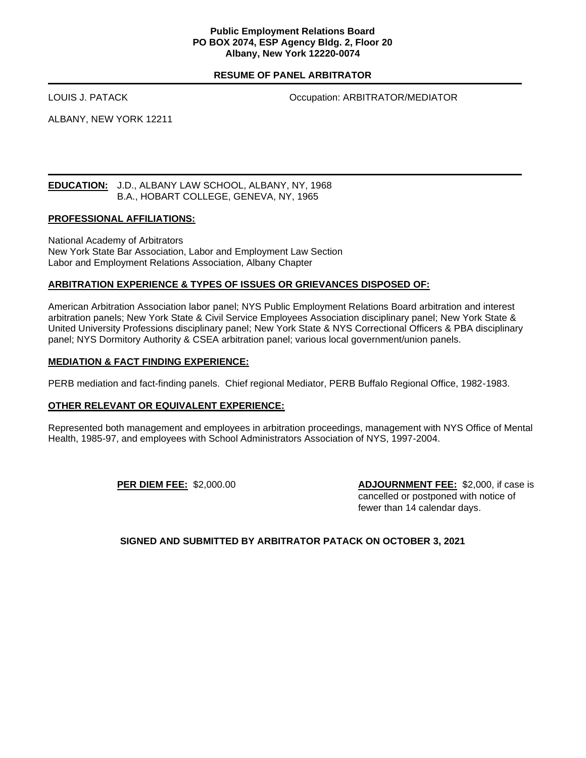### **Public Employment Relations Board PO BOX 2074, ESP Agency Bldg. 2, Floor 20 Albany, New York 12220-0074**

### **RESUME OF PANEL ARBITRATOR**

LOUIS J. PATACK **COLLECT CONSUMING THE COLLECT OF COLLECT CONSUMING TO A REPORT OF A LICENS** 

ALBANY, NEW YORK 12211

#### **EDUCATION:** J.D., ALBANY LAW SCHOOL, ALBANY, NY, 1968 B.A., HOBART COLLEGE, GENEVA, NY, 1965

#### **PROFESSIONAL AFFILIATIONS:**

National Academy of Arbitrators New York State Bar Association, Labor and Employment Law Section Labor and Employment Relations Association, Albany Chapter

### **ARBITRATION EXPERIENCE & TYPES OF ISSUES OR GRIEVANCES DISPOSED OF:**

American Arbitration Association labor panel; NYS Public Employment Relations Board arbitration and interest arbitration panels; New York State & Civil Service Employees Association disciplinary panel; New York State & United University Professions disciplinary panel; New York State & NYS Correctional Officers & PBA disciplinary panel; NYS Dormitory Authority & CSEA arbitration panel; various local government/union panels.

#### **MEDIATION & FACT FINDING EXPERIENCE:**

PERB mediation and fact-finding panels. Chief regional Mediator, PERB Buffalo Regional Office, 1982-1983.

#### **OTHER RELEVANT OR EQUIVALENT EXPERIENCE:**

Represented both management and employees in arbitration proceedings, management with NYS Office of Mental Health, 1985-97, and employees with School Administrators Association of NYS, 1997-2004.

**PER DIEM FEE:** \$2,000.00 **ADJOURNMENT FEE:** \$2,000, if case is cancelled or postponed with notice of fewer than 14 calendar days.

**SIGNED AND SUBMITTED BY ARBITRATOR PATACK ON OCTOBER 3, 2021**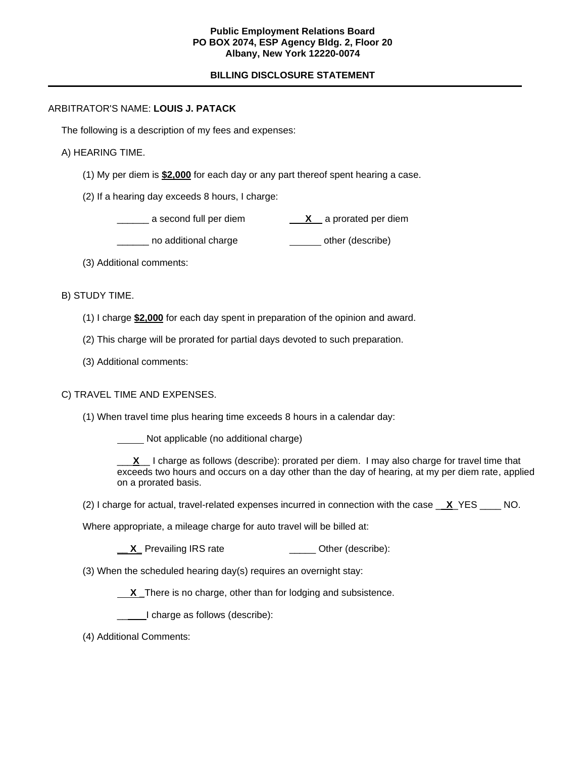### **Public Employment Relations Board PO BOX 2074, ESP Agency Bldg. 2, Floor 20 Albany, New York 12220-0074**

# **BILLING DISCLOSURE STATEMENT**

## ARBITRATOR'S NAME: **LOUIS J. PATACK**

The following is a description of my fees and expenses:

## A) HEARING TIME.

- (1) My per diem is **\$2,000** for each day or any part thereof spent hearing a case.
- (2) If a hearing day exceeds 8 hours, I charge:

| a second full per diem |  | a prorated per diem |  |
|------------------------|--|---------------------|--|
|                        |  |                     |  |

- Letter no additional charge other (describe)
- (3) Additional comments:
- B) STUDY TIME.
	- (1) I charge **\$2,000** for each day spent in preparation of the opinion and award.
	- (2) This charge will be prorated for partial days devoted to such preparation.
	- (3) Additional comments:

# C) TRAVEL TIME AND EXPENSES.

(1) When travel time plus hearing time exceeds 8 hours in a calendar day:

Not applicable (no additional charge)

\_\_\_**X**\_\_ I charge as follows (describe): prorated per diem. I may also charge for travel time that exceeds two hours and occurs on a day other than the day of hearing, at my per diem rate, applied on a prorated basis.

(2) I charge for actual, travel-related expenses incurred in connection with the case \_ **X**\_YES \_\_\_\_ NO.

Where appropriate, a mileage charge for auto travel will be billed at:

- **\_\_ X\_** Prevailing IRS rate \_\_\_\_\_\_\_\_\_\_\_\_\_\_\_ Other (describe):
- (3) When the scheduled hearing day(s) requires an overnight stay:

**X \_**There is no charge, other than for lodging and subsistence.

\_\_I charge as follows (describe):

(4) Additional Comments: